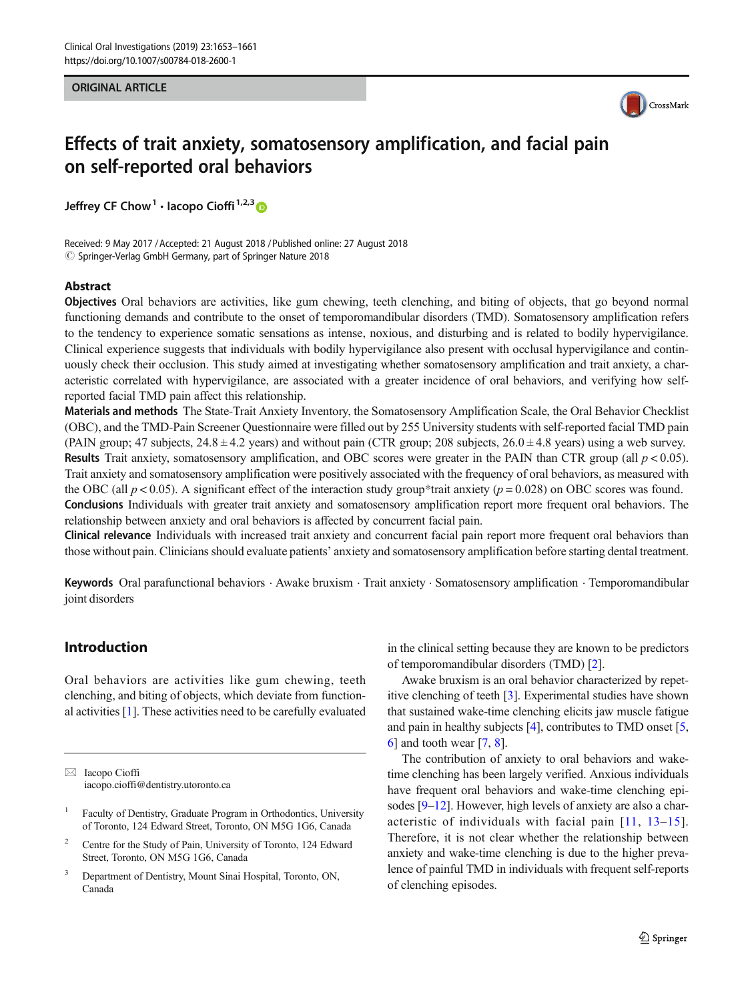#### ORIGINAL ARTICLE



# Effects of trait anxiety, somatosensory amplification, and facial pain on self-reported oral behaviors

Jeffrey CF Chow<sup>1</sup> · Iacopo Cioffi<sup>1,2,3</sup>

Received: 9 May 2017 /Accepted: 21 August 2018 /Published online: 27 August 2018  $\circled{c}$  Springer-Verlag GmbH Germany, part of Springer Nature 2018

#### Abstract

Objectives Oral behaviors are activities, like gum chewing, teeth clenching, and biting of objects, that go beyond normal functioning demands and contribute to the onset of temporomandibular disorders (TMD). Somatosensory amplification refers to the tendency to experience somatic sensations as intense, noxious, and disturbing and is related to bodily hypervigilance. Clinical experience suggests that individuals with bodily hypervigilance also present with occlusal hypervigilance and continuously check their occlusion. This study aimed at investigating whether somatosensory amplification and trait anxiety, a characteristic correlated with hypervigilance, are associated with a greater incidence of oral behaviors, and verifying how selfreported facial TMD pain affect this relationship.

Materials and methods The State-Trait Anxiety Inventory, the Somatosensory Amplification Scale, the Oral Behavior Checklist (OBC), and the TMD-Pain Screener Questionnaire were filled out by 255 University students with self-reported facial TMD pain (PAIN group; 47 subjects,  $24.8 \pm 4.2$  years) and without pain (CTR group; 208 subjects,  $26.0 \pm 4.8$  years) using a web survey. **Results** Trait anxiety, somatosensory amplification, and OBC scores were greater in the PAIN than CTR group (all  $p < 0.05$ ). Trait anxiety and somatosensory amplification were positively associated with the frequency of oral behaviors, as measured with the OBC (all  $p < 0.05$ ). A significant effect of the interaction study group\*trait anxiety ( $p = 0.028$ ) on OBC scores was found. Conclusions Individuals with greater trait anxiety and somatosensory amplification report more frequent oral behaviors. The relationship between anxiety and oral behaviors is affected by concurrent facial pain.

Clinical relevance Individuals with increased trait anxiety and concurrent facial pain report more frequent oral behaviors than those without pain. Clinicians should evaluate patients' anxiety and somatosensory amplification before starting dental treatment.

Keywords Oral parafunctional behaviors . Awake bruxism . Trait anxiety . Somatosensory amplification . Temporomandibular joint disorders

# Introduction

Oral behaviors are activities like gum chewing, teeth clenching, and biting of objects, which deviate from functional activities [[1\]](#page-7-0). These activities need to be carefully evaluated in the clinical setting because they are known to be predictors of temporomandibular disorders (TMD) [[2](#page-7-0)].

Awake bruxism is an oral behavior characterized by repetitive clenching of teeth [[3\]](#page-7-0). Experimental studies have shown that sustained wake-time clenching elicits jaw muscle fatigue and pain in healthy subjects [[4\]](#page-7-0), contributes to TMD onset [[5,](#page-7-0) [6](#page-7-0)] and tooth wear [[7,](#page-7-0) [8\]](#page-7-0).

The contribution of anxiety to oral behaviors and waketime clenching has been largely verified. Anxious individuals have frequent oral behaviors and wake-time clenching epi-sodes [\[9](#page-7-0)–[12\]](#page-7-0). However, high levels of anxiety are also a characteristic of individuals with facial pain [[11](#page-7-0), [13](#page-7-0)–[15](#page-7-0)]. Therefore, it is not clear whether the relationship between anxiety and wake-time clenching is due to the higher prevalence of painful TMD in individuals with frequent self-reports of clenching episodes.

 $\boxtimes$  Iacopo Cioffi [iacopo.cioffi@dentistry.utoronto.ca](mailto:iacopo.cioffi@dentistry.utoronto.ca)

<sup>1</sup> Faculty of Dentistry, Graduate Program in Orthodontics, University of Toronto, 124 Edward Street, Toronto, ON M5G 1G6, Canada

<sup>&</sup>lt;sup>2</sup> Centre for the Study of Pain, University of Toronto, 124 Edward Street, Toronto, ON M5G 1G6, Canada

Department of Dentistry, Mount Sinai Hospital, Toronto, ON, Canada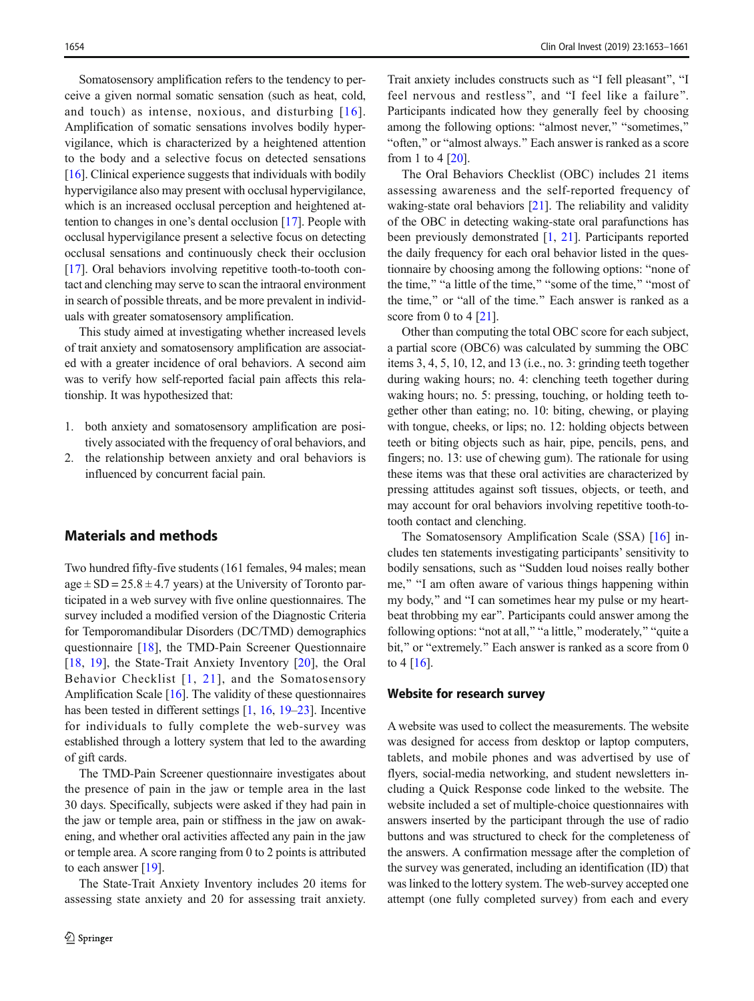Somatosensory amplification refers to the tendency to perceive a given normal somatic sensation (such as heat, cold, and touch) as intense, noxious, and disturbing [[16\]](#page-7-0). Amplification of somatic sensations involves bodily hypervigilance, which is characterized by a heightened attention to the body and a selective focus on detected sensations [\[16\]](#page-7-0). Clinical experience suggests that individuals with bodily hypervigilance also may present with occlusal hypervigilance, which is an increased occlusal perception and heightened attention to changes in one's dental occlusion [\[17](#page-7-0)]. People with occlusal hypervigilance present a selective focus on detecting occlusal sensations and continuously check their occlusion [\[17\]](#page-7-0). Oral behaviors involving repetitive tooth-to-tooth contact and clenching may serve to scan the intraoral environment in search of possible threats, and be more prevalent in individuals with greater somatosensory amplification.

This study aimed at investigating whether increased levels of trait anxiety and somatosensory amplification are associated with a greater incidence of oral behaviors. A second aim was to verify how self-reported facial pain affects this relationship. It was hypothesized that:

- 1. both anxiety and somatosensory amplification are positively associated with the frequency of oral behaviors, and
- 2. the relationship between anxiety and oral behaviors is influenced by concurrent facial pain.

#### Materials and methods

Two hundred fifty-five students (161 females, 94 males; mean  $age \pm SD = 25.8 \pm 4.7$  years) at the University of Toronto participated in a web survey with five online questionnaires. The survey included a modified version of the Diagnostic Criteria for Temporomandibular Disorders (DC/TMD) demographics questionnaire [[18\]](#page-7-0), the TMD-Pain Screener Questionnaire [\[18](#page-7-0), [19\]](#page-7-0), the State-Trait Anxiety Inventory [[20\]](#page-7-0), the Oral Behavior Checklist [[1,](#page-7-0) [21](#page-7-0)], and the Somatosensory Amplification Scale [[16\]](#page-7-0). The validity of these questionnaires has been tested in different settings [\[1,](#page-7-0) [16,](#page-7-0) [19](#page-7-0)–[23\]](#page-7-0). Incentive for individuals to fully complete the web-survey was established through a lottery system that led to the awarding of gift cards.

The TMD-Pain Screener questionnaire investigates about the presence of pain in the jaw or temple area in the last 30 days. Specifically, subjects were asked if they had pain in the jaw or temple area, pain or stiffness in the jaw on awakening, and whether oral activities affected any pain in the jaw or temple area. A score ranging from 0 to 2 points is attributed to each answer [[19\]](#page-7-0).

The State-Trait Anxiety Inventory includes 20 items for assessing state anxiety and 20 for assessing trait anxiety.

Trait anxiety includes constructs such as "I fell pleasant", "I feel nervous and restless", and "I feel like a failure". Participants indicated how they generally feel by choosing among the following options: "almost never," "sometimes," "often," or "almost always." Each answer is ranked as a score from 1 to 4 [\[20\]](#page-7-0).

The Oral Behaviors Checklist (OBC) includes 21 items assessing awareness and the self-reported frequency of waking-state oral behaviors [[21](#page-7-0)]. The reliability and validity of the OBC in detecting waking-state oral parafunctions has been previously demonstrated [\[1](#page-7-0), [21](#page-7-0)]. Participants reported the daily frequency for each oral behavior listed in the questionnaire by choosing among the following options: "none of the time," "a little of the time," "some of the time," "most of the time," or "all of the time." Each answer is ranked as a score from 0 to 4  $[21]$ .

Other than computing the total OBC score for each subject, a partial score (OBC6) was calculated by summing the OBC items 3, 4, 5, 10, 12, and 13 (i.e., no. 3: grinding teeth together during waking hours; no. 4: clenching teeth together during waking hours; no. 5: pressing, touching, or holding teeth together other than eating; no. 10: biting, chewing, or playing with tongue, cheeks, or lips; no. 12: holding objects between teeth or biting objects such as hair, pipe, pencils, pens, and fingers; no. 13: use of chewing gum). The rationale for using these items was that these oral activities are characterized by pressing attitudes against soft tissues, objects, or teeth, and may account for oral behaviors involving repetitive tooth-totooth contact and clenching.

The Somatosensory Amplification Scale (SSA) [\[16](#page-7-0)] includes ten statements investigating participants' sensitivity to bodily sensations, such as "Sudden loud noises really bother me," "I am often aware of various things happening within my body," and "I can sometimes hear my pulse or my heartbeat throbbing my ear". Participants could answer among the following options: "not at all," "a little," moderately," "quite a bit," or "extremely." Each answer is ranked as a score from 0 to  $4 \, [16]$  $4 \, [16]$ .

#### Website for research survey

A website was used to collect the measurements. The website was designed for access from desktop or laptop computers, tablets, and mobile phones and was advertised by use of flyers, social-media networking, and student newsletters including a Quick Response code linked to the website. The website included a set of multiple-choice questionnaires with answers inserted by the participant through the use of radio buttons and was structured to check for the completeness of the answers. A confirmation message after the completion of the survey was generated, including an identification (ID) that was linked to the lottery system. The web-survey accepted one attempt (one fully completed survey) from each and every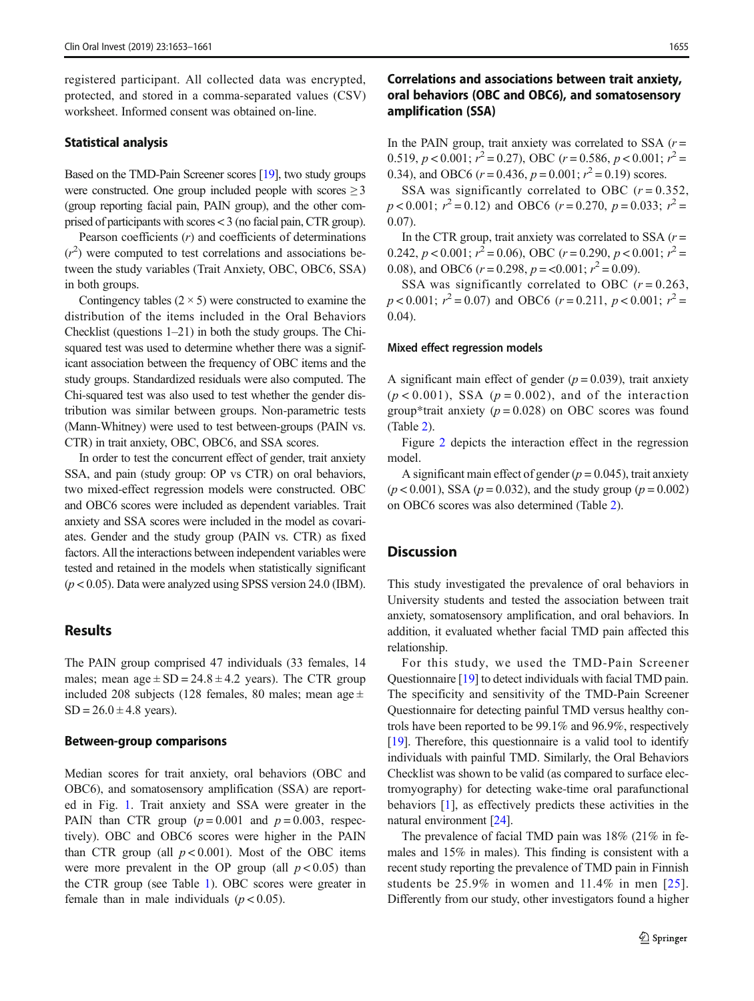registered participant. All collected data was encrypted, protected, and stored in a comma-separated values (CSV) worksheet. Informed consent was obtained on-line.

#### Statistical analysis

Based on the TMD-Pain Screener scores [[19\]](#page-7-0), two study groups were constructed. One group included people with scores  $\geq 3$ (group reporting facial pain, PAIN group), and the other comprised of participants with scores < 3 (no facial pain, CTR group).

Pearson coefficients  $(r)$  and coefficients of determinations  $(r^2)$  were computed to test correlations and associations be-<br>tween the study variables (Trait Anxiety OBC OBC6 SSA) tween the study variables (Trait Anxiety, OBC, OBC6, SSA) in both groups.

Contingency tables  $(2 \times 5)$  were constructed to examine the distribution of the items included in the Oral Behaviors Checklist (questions 1–21) in both the study groups. The Chisquared test was used to determine whether there was a significant association between the frequency of OBC items and the study groups. Standardized residuals were also computed. The Chi-squared test was also used to test whether the gender distribution was similar between groups. Non-parametric tests (Mann-Whitney) were used to test between-groups (PAIN vs. CTR) in trait anxiety, OBC, OBC6, and SSA scores.

In order to test the concurrent effect of gender, trait anxiety SSA, and pain (study group: OP vs CTR) on oral behaviors, two mixed-effect regression models were constructed. OBC and OBC6 scores were included as dependent variables. Trait anxiety and SSA scores were included in the model as covariates. Gender and the study group (PAIN vs. CTR) as fixed factors. All the interactions between independent variables were tested and retained in the models when statistically significant  $(p < 0.05)$ . Data were analyzed using SPSS version 24.0 (IBM).

#### Results

The PAIN group comprised 47 individuals (33 females, 14 males; mean  $age \pm SD = 24.8 \pm 4.2$  years). The CTR group included 208 subjects (128 females, 80 males; mean age  $\pm$  $SD = 26.0 \pm 4.8$  years).

### Between-group comparisons

Median scores for trait anxiety, oral behaviors (OBC and OBC6), and somatosensory amplification (SSA) are reported in Fig. [1](#page-3-0). Trait anxiety and SSA were greater in the PAIN than CTR group  $(p=0.001$  and  $p=0.003$ , respectively). OBC and OBC6 scores were higher in the PAIN than CTR group (all  $p < 0.001$ ). Most of the OBC items were more prevalent in the OP group (all  $p < 0.05$ ) than the CTR group (see Table [1](#page-4-0)). OBC scores were greater in female than in male individuals  $(p < 0.05)$ .

# Correlations and associations between trait anxiety, oral behaviors (OBC and OBC6), and somatosensory amplification (SSA)

In the PAIN group, trait anxiety was correlated to SSA  $(r =$ 0.519,  $p < 0.001$ ;  $r^2 = 0.27$ ), OBC  $(r = 0.586, p < 0.001$ ;  $r^2 = 0.34$ ), and OBC6  $(r = 0.436, p = 0.001$ ;  $r^2 = 0.19$ ) scores 0.34), and OBC6  $(r=0.436, p=0.001; r^2=0.19)$  scores.<br>SSA was significantly correlated to OBC  $(r=0$ .

SSA was significantly correlated to OBC  $(r = 0.352)$ ,  $p < 0.001$ ;  $r^2 = 0.12$ ) and OBC6 ( $r = 0.270$ ,  $p = 0.033$ ;  $r^2 = 0.07$ ) 0.07).

In the CTR group, trait anxiety was correlated to SSA  $(r =$ 0.242,  $p < 0.001$ ;  $r^2 = 0.06$ ), OBC ( $r = 0.290$ ,  $p < 0.001$ ;  $r^2 = 0.08$ ), and OBC6 ( $r = 0.298$ ,  $p < 0.001$ ;  $r^2 = 0.09$ ) 0.08), and OBC6  $(r = 0.298, p = 0.001; r^2 = 0.09)$ .<br>SSA was significantly correlated to OBC (

SSA was significantly correlated to OBC  $(r = 0.263)$ .  $p < 0.001$ ;  $r^2 = 0.07$ ) and OBC6 ( $r = 0.211$ ,  $p < 0.001$ ;  $r^2 = 0.04$ ) 0.04).

#### Mixed effect regression models

A significant main effect of gender  $(p = 0.039)$ , trait anxiety  $(p < 0.001)$ , SSA  $(p = 0.002)$ , and of the interaction group\*trait anxiety ( $p = 0.028$ ) on OBC scores was found (Table [2](#page-5-0)).

Figure [2](#page-6-0) depicts the interaction effect in the regression model.

A significant main effect of gender ( $p = 0.045$ ), trait anxiety  $(p < 0.001)$ , SSA  $(p = 0.032)$ , and the study group  $(p = 0.002)$ on OBC6 scores was also determined (Table [2](#page-5-0)).

#### **Discussion**

This study investigated the prevalence of oral behaviors in University students and tested the association between trait anxiety, somatosensory amplification, and oral behaviors. In addition, it evaluated whether facial TMD pain affected this relationship.

For this study, we used the TMD-Pain Screener Questionnaire [\[19](#page-7-0)] to detect individuals with facial TMD pain. The specificity and sensitivity of the TMD-Pain Screener Questionnaire for detecting painful TMD versus healthy controls have been reported to be 99.1% and 96.9%, respectively [\[19](#page-7-0)]. Therefore, this questionnaire is a valid tool to identify individuals with painful TMD. Similarly, the Oral Behaviors Checklist was shown to be valid (as compared to surface electromyography) for detecting wake-time oral parafunctional behaviors [\[1](#page-7-0)], as effectively predicts these activities in the natural environment [\[24\]](#page-7-0).

The prevalence of facial TMD pain was 18% (21% in females and 15% in males). This finding is consistent with a recent study reporting the prevalence of TMD pain in Finnish students be 25.9% in women and 11.4% in men [[25](#page-7-0)]. Differently from our study, other investigators found a higher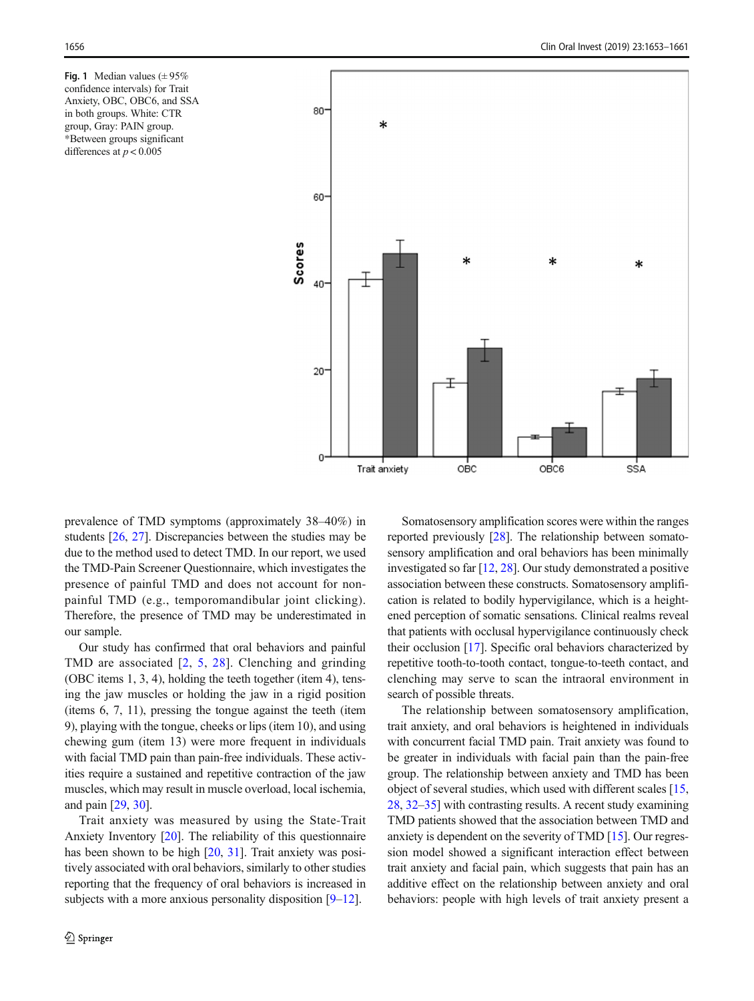<span id="page-3-0"></span>Fig. 1 Median values  $(\pm 95\%$ confidence intervals) for Trait Anxiety, OBC, OBC6, and SSA in both groups. White: CTR group, Gray: PAIN group. \*Between groups significant differences at  $p < 0.005$ 



prevalence of TMD symptoms (approximately 38–40%) in students [[26,](#page-7-0) [27](#page-7-0)]. Discrepancies between the studies may be due to the method used to detect TMD. In our report, we used the TMD-Pain Screener Questionnaire, which investigates the presence of painful TMD and does not account for nonpainful TMD (e.g., temporomandibular joint clicking). Therefore, the presence of TMD may be underestimated in our sample.

Our study has confirmed that oral behaviors and painful TMD are associated [\[2](#page-7-0), [5](#page-7-0), [28](#page-7-0)]. Clenching and grinding (OBC items 1, 3, 4), holding the teeth together (item 4), tensing the jaw muscles or holding the jaw in a rigid position (items 6, 7, 11), pressing the tongue against the teeth (item 9), playing with the tongue, cheeks or lips (item 10), and using chewing gum (item 13) were more frequent in individuals with facial TMD pain than pain-free individuals. These activities require a sustained and repetitive contraction of the jaw muscles, which may result in muscle overload, local ischemia, and pain [\[29,](#page-7-0) [30\]](#page-7-0).

Trait anxiety was measured by using the State-Trait Anxiety Inventory [\[20\]](#page-7-0). The reliability of this questionnaire has been shown to be high [\[20](#page-7-0), [31\]](#page-7-0). Trait anxiety was positively associated with oral behaviors, similarly to other studies reporting that the frequency of oral behaviors is increased in subjects with a more anxious personality disposition [[9](#page-7-0)–[12](#page-7-0)].

Somatosensory amplification scores were within the ranges reported previously [[28\]](#page-7-0). The relationship between somatosensory amplification and oral behaviors has been minimally investigated so far [\[12,](#page-7-0) [28](#page-7-0)]. Our study demonstrated a positive association between these constructs. Somatosensory amplification is related to bodily hypervigilance, which is a heightened perception of somatic sensations. Clinical realms reveal that patients with occlusal hypervigilance continuously check their occlusion [[17](#page-7-0)]. Specific oral behaviors characterized by repetitive tooth-to-tooth contact, tongue-to-teeth contact, and clenching may serve to scan the intraoral environment in search of possible threats.

The relationship between somatosensory amplification, trait anxiety, and oral behaviors is heightened in individuals with concurrent facial TMD pain. Trait anxiety was found to be greater in individuals with facial pain than the pain-free group. The relationship between anxiety and TMD has been object of several studies, which used with different scales [[15,](#page-7-0) [28,](#page-7-0) [32](#page-7-0)–[35](#page-8-0)] with contrasting results. A recent study examining TMD patients showed that the association between TMD and anxiety is dependent on the severity of TMD [[15\]](#page-7-0). Our regression model showed a significant interaction effect between trait anxiety and facial pain, which suggests that pain has an additive effect on the relationship between anxiety and oral behaviors: people with high levels of trait anxiety present a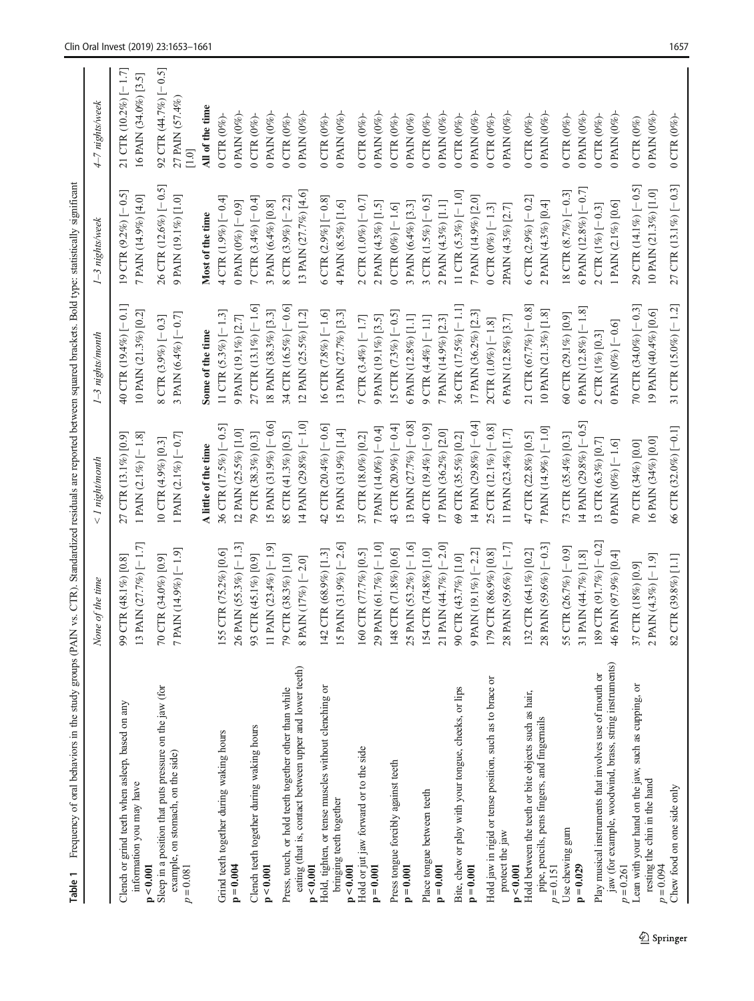<span id="page-4-0"></span>

| Frequency of oral behaviors in the study groups (PAIN<br>Table 1                                                                |                                                                      | vs. CTR). Standardized residuals are reported between squared brackets. Bold type: statistically significant |                                                     |                                                  |                                                     |
|---------------------------------------------------------------------------------------------------------------------------------|----------------------------------------------------------------------|--------------------------------------------------------------------------------------------------------------|-----------------------------------------------------|--------------------------------------------------|-----------------------------------------------------|
|                                                                                                                                 | None of the time                                                     | < 1 night/month                                                                                              | 1-3 nights/month                                    | 1-3 nights/week                                  | 4-7 nights/week                                     |
| Clench or grind teeth when asleep, based on any                                                                                 | $CTR(48.1\%)[0.8]$<br>99(                                            | 27 CTR (13.1%) [0.9]                                                                                         | 40 CTR $(19.4\%)$ [-0.1]                            | 19 CTR $(9.2\%)$ [-0.5]                          | 21 CTR $(10.2\%)$ [-1.7]                            |
| information you may have<br>p < 0.001                                                                                           | PAIN (27.7%) [-1.7]<br>131                                           | 1 PAIN $(2.1\%)$ [-1.8]                                                                                      | 10 PAIN (21.3%) [0.2]                               | 7 PAIN (14.9%) [4.0]                             | 16 PAIN (34.0%) [3.5]                               |
| Sleep in a position that puts pressure on the jaw (for<br>example, on stomach, on the side)<br>$p = 0.081$                      | 7 PAIN (14.9%) [-1.9]<br>70 CTR (34.0%) [0.9]                        | 1 PAIN $(2.1\%)$ [-0.7]<br>10 CTR (4.9%) [0.3]                                                               | 3 PAIN (6.4%) [-0.7]<br>8 CTR $(3.9\%)$ [-0.3]      | 26 CTR $(12.6\%)$ [-0.5]<br>9 PAIN (19.1%) [1.0] | 92 CTR (44.7%) [-0.5]<br>27 PAIN (57.4%)<br>$[1.0]$ |
|                                                                                                                                 |                                                                      | A little of the time                                                                                         | Some of the time                                    | Most of the time                                 | All of the time                                     |
| Grind teeth together during waking hours                                                                                        | CTR (75.2%) [0.6]<br>155                                             | 36 CTR $(17.5\%)$ [-0.5]                                                                                     | 11 CTR $(5.3\%)$ [-1.3]                             | $4$ CTR (1.9%) $[-0.4]$                          | $0$ CTR $(0\%)$                                     |
| $p = 0.004$                                                                                                                     | PAIN (55.3%) [-1.3]<br>26 I                                          | 12 PAIN (25.5%) [1.0]                                                                                        | 9 PAIN (19.1%) [2.7]                                | 0 PAIN (0%) [-0.9]                               | 0 PAIN (0%)-                                        |
| Clench teeth together during waking hours<br>p < 0.001                                                                          | PAIN (23.4%) [-1.9]<br>CTR (45.1%) [0.9]<br>93 <sup>o</sup><br>$\Xi$ | 15 PAIN (31.9%) [-0.6]<br>79 CTR (38.3%) [0.3]                                                               | 27 CTR (13.1%) [-1.6]<br>18 PAIN (38.3%) [3.3]      | 7 CTR $(3.4\%)$ [-0.4]<br>3 PAIN (6.4%) [0.8]    | 0 PAIN (0%)<br>0 CTR (0%)-                          |
| eating (that is, contact between upper and lower teeth)<br>Press, touch, or hold teeth together other than while<br>p < 0.001   | 79 CTR (38.3%) [1.0]<br>8 PAIN (17%) [-2.0]                          | 14 PAIN (29.8%) [-1.0]<br>85 CTR (41.3%) [0.5]                                                               | 34 CTR (16.5%) [-0.6]<br>12 PAIN (25.5%) [1.2]      | 13 PAIN (27.7%) [4.6]<br>8 CTR (3.9%) $[-2.2]$   | 0 PAIN (0%)<br>0 CTR $(0\%)$                        |
| Hold, tighten, or tense muscles without clenching or<br>bringing teeth together                                                 | PAIN (31.9%) $[-2.6]$<br>142 CTR (68.9%) [1.3]<br>151                | 42 CTR (20.4%) [-0.6]<br>15 PAIN (31.9%) [1.4]                                                               | 13 PAIN (27.7%) [3.3]<br>16 CTR $(7.8\%)$ [-1.6]    | 6 CTR $(2.9\%$ ] [-0.8]<br>4 PAIN (8.5%) [1.6]   | 0 PAIN (0%)<br>$0$ CTR $(0\%)$                      |
| Hold or jut jaw forward or to the side<br>p < 0.001                                                                             | 160 CTR (77.7%) [0.5]                                                | 37 CTR (18.0%) [0.2]                                                                                         | 7 CTR $(3.4\%)$ [-1.7]                              | 2 CTR $(1.0\%)$ [-0.7]                           | 0 CTR ( $0\%$ )-                                    |
| $p = 0.001$                                                                                                                     | PAIN (61.7%) [-1.0]<br>$29$ F                                        | 7 PAIN (14.0%) [-0.4]                                                                                        | 9 PAIN (19.1%) [3.5]                                | 2 PAIN (4.3%) [1.5]                              | 0 PAIN (0%)-                                        |
| Press tongue forcibly against teeth<br>$p = 0.001$                                                                              | 148 CTR (71.8%) [0.6]                                                | 43 CTR (20.9%) [-0.4]                                                                                        | 15 CTR $(7.3\%)$ [-0.5]                             | 0 CTR (0%) $[-1.6]$                              | 0 CTR $(0\%)$                                       |
| Place tongue between teeth                                                                                                      | 25 PAIN (53.2%) [-1.6]<br>154 CTR (74.8%) [1.0]                      | 13 PAIN (27.7%) [-0.8]<br>40 CTR (19.4%) [-0.9]                                                              | 6 PAIN (12.8%) [1.1]<br>9 CTR (4.4%) [-1.1]         | 3 CTR $(1.5\%)$ [-0.5]<br>3 PAIN (6.4%) [3.3]    | $0$ CTR $(0\%)$<br>0 PAIN (0%)                      |
| $p = 0.001$                                                                                                                     | PAIN (44.7%) [-2.0]<br>211                                           | 17 PAIN (36.2%) [2.0]                                                                                        | 7 PAIN (14.9%) [2.3]                                | 2 PAIN (4.3%) [1.1]                              | 0 PAIN (0%)                                         |
| Bite, chew or play with your tongue, cheeks, or lips                                                                            | 90 CTR (43.7%) [1.0]                                                 | 69 CTR (35.5%) [0.2]                                                                                         | 36 CTR (17.5%) [-1.1]                               | 11 CTR $(5.3\%)$ [-1.0]                          | 0 CTR ( $0\%$ )-                                    |
| $p = 0.001$                                                                                                                     | 9 PAIN (19.1%) [-2.2]                                                | 14 PAIN (29.8%) [-0.4]                                                                                       | 17 PAIN (36.2%) [2.3]                               | 7 PAIN (14.9%) [2.0]                             | 0 PAIN (0%)                                         |
| Hold jaw in rigid or tense position, such as to brace or<br>protect the jaw<br>p < 0.001                                        | 28 PAIN (59.6%) [-1.7]<br>179 CTR (86.9%) [0.8]                      | 25 CTR $(12.1\%)$ [-0.8]<br>11 PAIN (23.4%) [1.7]                                                            | 6 PAIN (12.8%) [3.7]<br>2CTR (1.0%) [-1.8]          | 0 CTR (0%) $[-1.3]$<br>2PAIN (4.3%) [2.7]        | 0 PAIN (0%)<br>0 CTR ( $0\%$ )-                     |
| Hold between the teeth or bite objects such as hair,<br>pipe, pencils, pens fingers, and fingernails                            | 132 CTR (64.1%) [0.2]                                                | 47 CTR (22.8%) [0.5]                                                                                         | 21 CTR (67.7%) [-0.8]                               | 6 CTR $(2.9\%)$ [-0.2]                           | $0$ CTR $(0\%)$                                     |
| $p = 0.151$                                                                                                                     | $[50 - 1(980 \, \text{K}) - 0.3]$<br>28 <sub>1</sub>                 | 7 PAIN (14.9%) [-1.0]                                                                                        | 10 PAIN (21.3%) [1.8]                               | 2 PAIN (4.3%) [0.4]                              | 0 PAIN $(0\%)$                                      |
| Use chewing gum<br>$p = 0.029$                                                                                                  | 55 CTR (26.7%) [-0.9]<br>31 PAIN (44.7%) [1.8]                       | 14 PAIN $(29.8\%)$ [-0.5]<br>73 CTR (35.4%) [0.3]                                                            | 6 PAIN (12.8%) $[-1.8]$<br>60 CTR (29.1%) [0.9]     | 6 PAIN (12.8%) $[-0.7]$<br>18 CTR (8.7%) [-0.3]  | 0 PAIN (0%)<br>$0$ CTR $(0\%)$                      |
| jaw (for example, woodwind, brass, string instruments)<br>Play musical instruments that involves use of mouth or<br>$p = 0.261$ | 189 CTR (91.7%) [-0.2]<br>46 PAIN (97.9%) [0.4]                      | 13 CTR (6.3%) [0.7]<br>0 PAIN (0%) $\left[-1.6\right]$                                                       | 0 PAIN (0%) $\left[-0.6\right]$<br>2 CTR (1%) [0.3] | 1 PAIN (2.1%) [0.6]<br>$2$ CTR (1%) $[-0.3]$     | 0 PAIN (0%)-<br>0 CTR $(0\%)$ -                     |
| Lean with your hand on the jaw, such as cupping, or<br>resting the chin in the hand                                             | 37 CTR (18%) [0.9]                                                   | 70 CTR (34%) [0.0]                                                                                           | 70 CTR (34.0%) [-0.3]                               | 29 CTR $(14.1\%)$ [-0.5]                         | $0$ CTR $(0\%)$                                     |
| $p = 0.094$                                                                                                                     | 2 PAIN (4.3%) [-1.9]                                                 | 16 PAIN (34%) [0.0]                                                                                          | 19 PAIN (40.4%) [0.6]                               | 10 PAIN (21.3%) [1.0]                            | 0 PAIN $(0\%)$                                      |
| Chew food on one side only                                                                                                      | 82 CTR (39.8%) [1.1]                                                 | 66 CTR (32.0%) [-0.1]                                                                                        | 31 CTR $(15.0\%)$ [-1.2]                            | 27 CTR $(13.1\%)$ [-0.3]                         | $0$ CTR $(0\%)$                                     |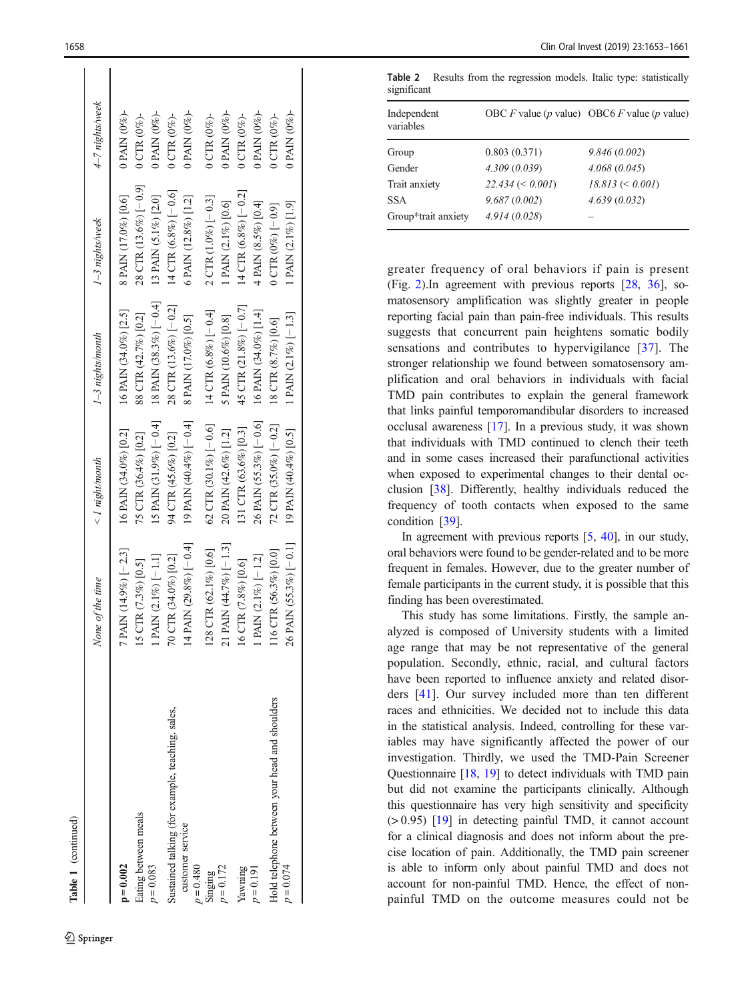<span id="page-5-0"></span>

|                                                  | None of the time         | < 1 night/month                   | 1-3 nights/month          | 1-3 nights/week                  | 4–7 nights/week   |
|--------------------------------------------------|--------------------------|-----------------------------------|---------------------------|----------------------------------|-------------------|
| $p = 0.002$                                      | $PAIN(14.9%)^[-2.3]$     | 16 PAIN (34.0%) [0.2]             | 16 PAIN (34.0%) [2.5]     | 8 PAIN (17.0%) [0.6]             | 0 PAIN (0%)-      |
| Eating between meals                             | 5 CTR (7.3%) [0.5]       | 75 CTR (36.4%) [0.2]              | 88 CTR (42.7%) [0.2]      | 28 CTR (13.6%) [-0.9]            | $0$ CTR $(0\%)$   |
| $p = 0.083$                                      | PAIN (2.1%) [-1.1]       | 15 PAIN (31.9%) $[-0.4]$          | 18 PAIN (38.3%) [-0.4]    | 13 PAIN (5.1%) [2.0]             | 0 PAIN $(0\%)$ -  |
| Sustained talking (for example, teaching, sales, | $0$ CTR (34.0%) [0.2]    | 94 CTR (45.6%) [0.2]              | 28 CTR $(13.6\%)$ [-0.2]  | 14 CTR $(6.8\%)$ [-0.6]          | $0$ CTR $(0\%)$   |
| customer service<br>$p = 0.480$                  | 4 PAIN $(29.8\%)$ [-0.4] | 19 PAIN $(40.4\%)$ $[-0.4]$       | 8 PAIN (17.0%) [0.5]      | 6 PAIN (12.8%) [1.2]             | 0 PAIN (0%)-      |
| Singing                                          | 28 CTR (62.1%) [0.6]     | 62 CTR (30.1%) $[-0.6]$           | 14 CTR $(6.8\%)$ $[-0.4]$ | 2 CTR $(1.0\%)$ $[-0.3]$         | $0$ CTR $(0\%)$   |
| $p = 0.172$                                      | $(1 PAM (44.7%) [-1.3]$  | 20 PAIN (42.6%) [1.2]             | 5 PAIN (10.6%) [0.8]      | 1 PAIN (2.1%) [0.6]              | 0 PAIN (0%)-      |
| Yawning                                          | 6 CTR (7.8%) [0.6]       | $[31 \text{ CTR } (63.6\%) [0.3]$ | 45 CTR (21.8%) [-0.7]     | $[4 \text{ CTR } (6.8\%) [-0.2]$ | $0$ CTR $(0\%)$   |
| $v = 0.191$                                      | PAIN (2.1%) [-1.2]       | 26 PAIN (55.3%) [-0.6]            | 16 PAIN (34.0%) [1.4]     | 4 PAIN (8.5%) [0.4]              | 0 PAIN $(0\%)$ -  |
| Hold telephone between your head and shoulders   | 16 CTR (56.3%) [0.0]     | 72 CTR $(35.0\%)$ [-0.2]          | 18 CTR (8.7%) [0.6]       | $0$ CTR $(0\%)$ [-0.9]           | $0$ CTR $(0\%)$ - |
| $p = 0.074$                                      | 6 PAIN $(55.3\%)$ [-0.1] | 19 PAIN (40.4%) [0.5]             | 1 PAIN $(2.1\%)$ [-1.3]   | 1 PAIN (2.1%) [1.9]              | 0 PAIN (0%)-      |
|                                                  |                          |                                   |                           |                                  |                   |

ï

Table 1 (continued)

(continued)

Table 2 Results from the regression models. Italic type: statistically significant

| Independent<br>variables |                    | OBC F value (p value) OBC6 F value (p value) |
|--------------------------|--------------------|----------------------------------------------|
| Group                    | 0.803(0.371)       | 9.846(0.002)                                 |
| Gender                   | 4.309(0.039)       | 4.068(0.045)                                 |
| Trait anxiety            | $22.434 \le 0.001$ | $18.813 \le 0.001$                           |
| <b>SSA</b>               | 9.687(0.002)       | 4.639(0.032)                                 |
| Group*trait anxiety      | 4.914(0.028)       |                                              |

greater frequency of oral behaviors if pain is present (Fig. [2](#page-6-0)).In agreement with previous reports [\[28](#page-7-0) , [36](#page-8-0)], somatosensory amplification was slightly greater in people reporting facial pain than pain-free individuals. This results suggests that concurrent pain heightens somatic bodily sensations and contributes to hypervigilance [[37](#page-8-0)]. The stronger relationship we found between somatosensory amplification and oral behaviors in individuals with facial TMD pain contributes to explain the general framework that links painful temporomandibular disorders to increased occlusal awareness [\[17\]](#page-7-0). In a previous study, it was shown that individuals with TMD continued to clench their teeth and in some cases increased their parafunctional activities when exposed to experimental changes to their dental occlusion [[38\]](#page-8-0). Differently, healthy individuals reduced the frequency of tooth contacts when exposed to the same condition [\[39](#page-8-0)].

In agreement with previous reports [ [5](#page-7-0) , [40\]](#page-8-0), in our study, oral behaviors were found to be gender-related and to be more frequent in females. However, due to the greater number of female participants in the current study, it is possible that this finding has been overestimated.

This study has some limitations. Firstly, the sample analyzed is composed of University students with a limited age range that may be not representative of the general population. Secondly, ethnic, racial, and cultural factors have been reported to influence anxiety and related disorders [\[41](#page-8-0)]. Our survey included more than ten different races and ethnicities. We decided not to include this data in the statistical analysis. Indeed, controlling for these variables may have significantly affected the power of our investigation. Thirdly, we used the TMD-Pain Screener Questionnaire [[18](#page-7-0) , [19\]](#page-7-0) to detect individuals with TMD pain but did not examine the participants clinically. Although this questionnaire has very high sensitivity and specificity (> 0.95) [[19](#page-7-0)] in detecting painful TMD, it cannot account for a clinical diagnosis and does not inform about the precise location of pain. Additionally, the TMD pain screener is able to inform only about painful TMD and does not account for non-painful TMD. Hence, the effect of nonpainful TMD on the outcome measures could not be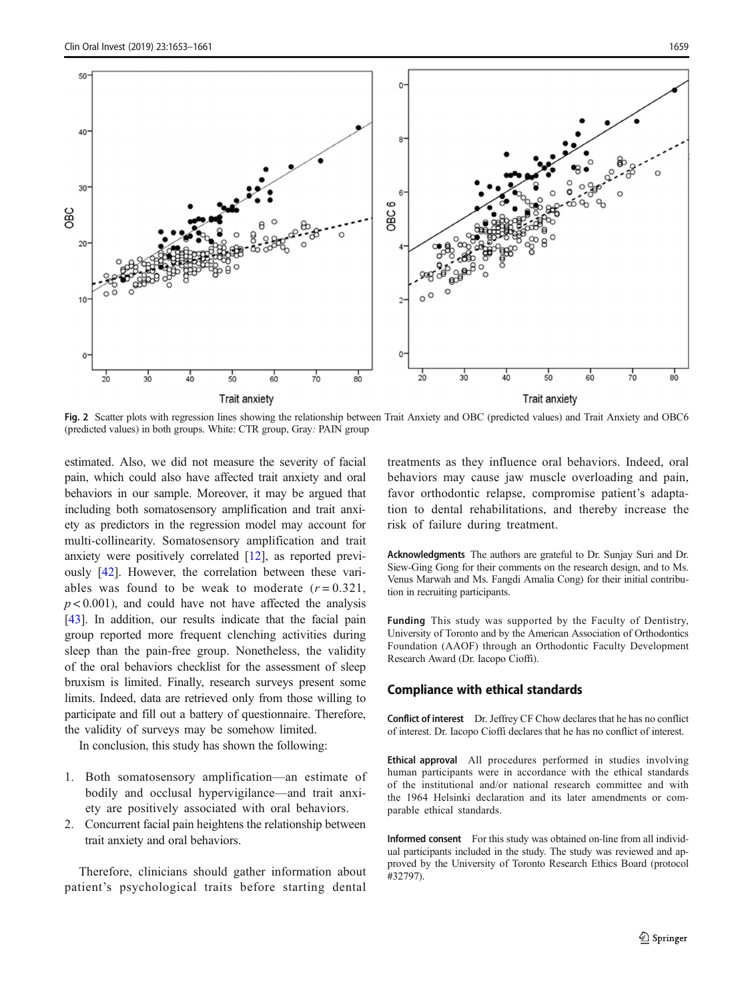<span id="page-6-0"></span>

Fig. 2 Scatter plots with regression lines showing the relationship between Trait Anxiety and OBC (predicted values) and Trait Anxiety and OBC6 (predicted values) in both groups. White: CTR group, Gray: PAIN group

estimated. Also, we did not measure the severity of facial pain, which could also have affected trait anxiety and oral behaviors in our sample. Moreover, it may be argued that including both somatosensory amplification and trait anxiety as predictors in the regression model may account for multi-collinearity. Somatosensory amplification and trait anxiety were positively correlated [[12](#page-7-0)], as reported previously [[42](#page-8-0)]. However, the correlation between these variables was found to be weak to moderate  $(r = 0.321)$ ,  $p < 0.001$ ), and could have not have affected the analysis [\[43\]](#page-8-0). In addition, our results indicate that the facial pain group reported more frequent clenching activities during sleep than the pain-free group. Nonetheless, the validity of the oral behaviors checklist for the assessment of sleep bruxism is limited. Finally, research surveys present some limits. Indeed, data are retrieved only from those willing to participate and fill out a battery of questionnaire. Therefore, the validity of surveys may be somehow limited.

In conclusion, this study has shown the following:

- 1. Both somatosensory amplification—an estimate of bodily and occlusal hypervigilance—and trait anxiety are positively associated with oral behaviors.
- 2. Concurrent facial pain heightens the relationship between trait anxiety and oral behaviors.

Therefore, clinicians should gather information about patient's psychological traits before starting dental treatments as they influence oral behaviors. Indeed, oral behaviors may cause jaw muscle overloading and pain, favor orthodontic relapse, compromise patient's adaptation to dental rehabilitations, and thereby increase the risk of failure during treatment.

Acknowledgments The authors are grateful to Dr. Sunjay Suri and Dr. Siew-Ging Gong for their comments on the research design, and to Ms. Venus Marwah and Ms. Fangdi Amalia Cong) for their initial contribution in recruiting participants.

Funding This study was supported by the Faculty of Dentistry, University of Toronto and by the American Association of Orthodontics Foundation (AAOF) through an Orthodontic Faculty Development Research Award (Dr. Iacopo Cioffi).

#### Compliance with ethical standards

Conflict of interest Dr. Jeffrey CF Chow declares that he has no conflict of interest. Dr. Iacopo Cioffi declares that he has no conflict of interest.

Ethical approval All procedures performed in studies involving human participants were in accordance with the ethical standards of the institutional and/or national research committee and with the 1964 Helsinki declaration and its later amendments or comparable ethical standards.

Informed consent For this study was obtained on-line from all individual participants included in the study. The study was reviewed and approved by the University of Toronto Research Ethics Board (protocol #32797).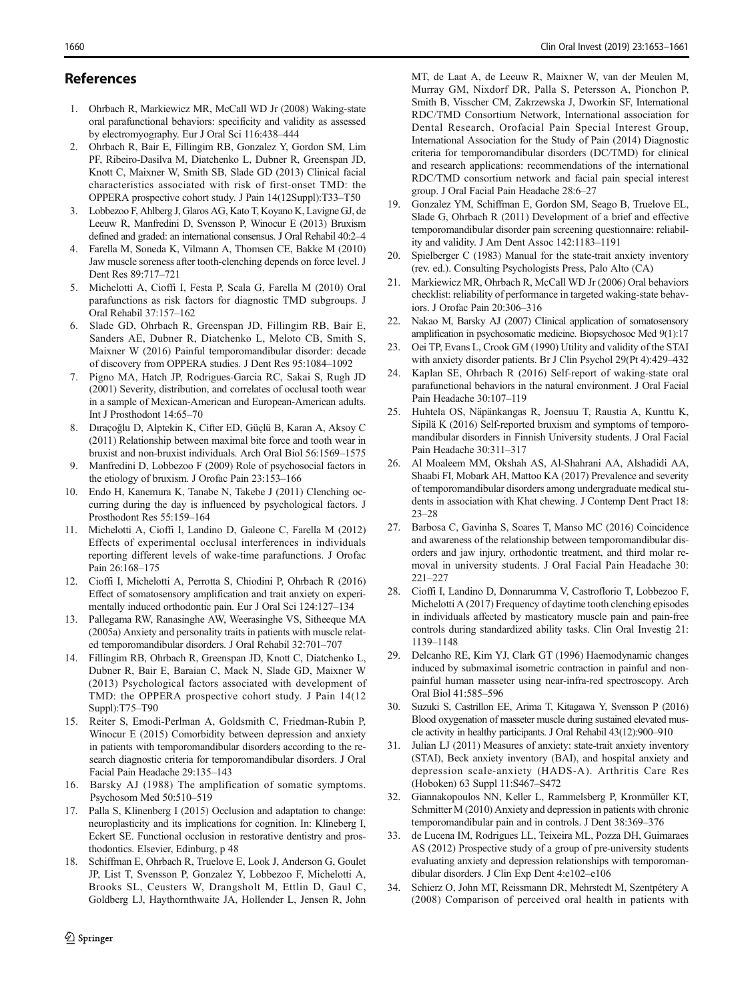# <span id="page-7-0"></span>References

- 1. Ohrbach R, Markiewicz MR, McCall WD Jr (2008) Waking-state oral parafunctional behaviors: specificity and validity as assessed by electromyography. Eur J Oral Sci 116:438–444
- 2. Ohrbach R, Bair E, Fillingim RB, Gonzalez Y, Gordon SM, Lim PF, Ribeiro-Dasilva M, Diatchenko L, Dubner R, Greenspan JD, Knott C, Maixner W, Smith SB, Slade GD (2013) Clinical facial characteristics associated with risk of first-onset TMD: the OPPERA prospective cohort study. J Pain 14(12Suppl):T33–T50
- 3. Lobbezoo F, Ahlberg J, Glaros AG, Kato T, Koyano K, Lavigne GJ, de Leeuw R, Manfredini D, Svensson P, Winocur E (2013) Bruxism defined and graded: an international consensus. J Oral Rehabil 40:2–4
- 4. Farella M, Soneda K, Vilmann A, Thomsen CE, Bakke M (2010) Jaw muscle soreness after tooth-clenching depends on force level. J Dent Res 89:717–721
- 5. Michelotti A, Cioffi I, Festa P, Scala G, Farella M (2010) Oral parafunctions as risk factors for diagnostic TMD subgroups. J Oral Rehabil 37:157–162
- 6. Slade GD, Ohrbach R, Greenspan JD, Fillingim RB, Bair E, Sanders AE, Dubner R, Diatchenko L, Meloto CB, Smith S, Maixner W (2016) Painful temporomandibular disorder: decade of discovery from OPPERA studies. J Dent Res 95:1084–1092
- 7. Pigno MA, Hatch JP, Rodrigues-Garcia RC, Sakai S, Rugh JD (2001) Severity, distribution, and correlates of occlusal tooth wear in a sample of Mexican-American and European-American adults. Int J Prosthodont 14:65–70
- 8. Dıraçoğlu D, Alptekin K, Cifter ED, Güçlü B, Karan A, Aksoy C (2011) Relationship between maximal bite force and tooth wear in bruxist and non-bruxist individuals. Arch Oral Biol 56:1569–1575
- Manfredini D, Lobbezoo F (2009) Role of psychosocial factors in the etiology of bruxism. J Orofac Pain 23:153–166
- 10. Endo H, Kanemura K, Tanabe N, Takebe J (2011) Clenching occurring during the day is influenced by psychological factors. J Prosthodont Res 55:159–164
- 11. Michelotti A, Cioffi I, Landino D, Galeone C, Farella M (2012) Effects of experimental occlusal interferences in individuals reporting different levels of wake-time parafunctions. J Orofac Pain 26:168–175
- 12. Cioffi I, Michelotti A, Perrotta S, Chiodini P, Ohrbach R (2016) Effect of somatosensory amplification and trait anxiety on experimentally induced orthodontic pain. Eur J Oral Sci 124:127–134
- 13. Pallegama RW, Ranasinghe AW, Weerasinghe VS, Sitheeque MA (2005a) Anxiety and personality traits in patients with muscle related temporomandibular disorders. J Oral Rehabil 32:701–707
- 14. Fillingim RB, Ohrbach R, Greenspan JD, Knott C, Diatchenko L, Dubner R, Bair E, Baraian C, Mack N, Slade GD, Maixner W (2013) Psychological factors associated with development of TMD: the OPPERA prospective cohort study. J Pain 14(12 Suppl):T75–T90
- 15. Reiter S, Emodi-Perlman A, Goldsmith C, Friedman-Rubin P, Winocur E (2015) Comorbidity between depression and anxiety in patients with temporomandibular disorders according to the research diagnostic criteria for temporomandibular disorders. J Oral Facial Pain Headache 29:135–143
- 16. Barsky AJ (1988) The amplification of somatic symptoms. Psychosom Med 50:510–519
- 17. Palla S, Klinenberg I (2015) Occlusion and adaptation to change: neuroplasticity and its implications for cognition. In: Klineberg I, Eckert SE. Functional occlusion in restorative dentistry and prosthodontics. Elsevier, Edinburg, p 48
- 18. Schiffman E, Ohrbach R, Truelove E, Look J, Anderson G, Goulet JP, List T, Svensson P, Gonzalez Y, Lobbezoo F, Michelotti A, Brooks SL, Ceusters W, Drangsholt M, Ettlin D, Gaul C, Goldberg LJ, Haythornthwaite JA, Hollender L, Jensen R, John

 $\hat{Z}$  Springer

MT, de Laat A, de Leeuw R, Maixner W, van der Meulen M, Murray GM, Nixdorf DR, Palla S, Petersson A, Pionchon P, Smith B, Visscher CM, Zakrzewska J, Dworkin SF, International RDC/TMD Consortium Network, International association for Dental Research, Orofacial Pain Special Interest Group, International Association for the Study of Pain (2014) Diagnostic criteria for temporomandibular disorders (DC/TMD) for clinical and research applications: recommendations of the international RDC/TMD consortium network and facial pain special interest group. J Oral Facial Pain Headache 28:6–27

- 19. Gonzalez YM, Schiffman E, Gordon SM, Seago B, Truelove EL, Slade G, Ohrbach R (2011) Development of a brief and effective temporomandibular disorder pain screening questionnaire: reliability and validity. J Am Dent Assoc 142:1183–1191
- Spielberger C (1983) Manual for the state-trait anxiety inventory (rev. ed.). Consulting Psychologists Press, Palo Alto (CA)
- 21. Markiewicz MR, Ohrbach R, McCall WD Jr (2006) Oral behaviors checklist: reliability of performance in targeted waking-state behaviors. J Orofac Pain 20:306–316
- 22. Nakao M, Barsky AJ (2007) Clinical application of somatosensory amplification in psychosomatic medicine. Biopsychosoc Med 9(1):17
- 23. Oei TP, Evans L, Crook GM (1990) Utility and validity of the STAI with anxiety disorder patients. Br J Clin Psychol 29(Pt 4):429–432
- 24. Kaplan SE, Ohrbach R (2016) Self-report of waking-state oral parafunctional behaviors in the natural environment. J Oral Facial Pain Headache 30:107–119
- 25. Huhtela OS, Näpänkangas R, Joensuu T, Raustia A, Kunttu K, Sipilä K (2016) Self-reported bruxism and symptoms of temporomandibular disorders in Finnish University students. J Oral Facial Pain Headache 30:311–317
- 26. Al Moaleem MM, Okshah AS, Al-Shahrani AA, Alshadidi AA, Shaabi FI, Mobark AH, Mattoo KA (2017) Prevalence and severity of temporomandibular disorders among undergraduate medical students in association with Khat chewing. J Contemp Dent Pract 18: 23–28
- 27. Barbosa C, Gavinha S, Soares T, Manso MC (2016) Coincidence and awareness of the relationship between temporomandibular disorders and jaw injury, orthodontic treatment, and third molar removal in university students. J Oral Facial Pain Headache 30: 221–227
- 28. Cioffi I, Landino D, Donnarumma V, Castroflorio T, Lobbezoo F, Michelotti A (2017) Frequency of daytime tooth clenching episodes in individuals affected by masticatory muscle pain and pain-free controls during standardized ability tasks. Clin Oral Investig 21: 1139–1148
- 29. Delcanho RE, Kim YJ, Clark GT (1996) Haemodynamic changes induced by submaximal isometric contraction in painful and nonpainful human masseter using near-infra-red spectroscopy. Arch Oral Biol 41:585–596
- 30. Suzuki S, Castrillon EE, Arima T, Kitagawa Y, Svensson P (2016) Blood oxygenation of masseter muscle during sustained elevated muscle activity in healthy participants. J Oral Rehabil 43(12):900–910
- 31. Julian LJ (2011) Measures of anxiety: state-trait anxiety inventory (STAI), Beck anxiety inventory (BAI), and hospital anxiety and depression scale-anxiety (HADS-A). Arthritis Care Res (Hoboken) 63 Suppl 11:S467–S472
- 32. Giannakopoulos NN, Keller L, Rammelsberg P, Kronmüller KT, Schmitter M (2010) Anxiety and depression in patients with chronic temporomandibular pain and in controls. J Dent 38:369–376
- 33. de Lucena IM, Rodrigues LL, Teixeira ML, Pozza DH, Guimaraes AS (2012) Prospective study of a group of pre-university students evaluating anxiety and depression relationships with temporomandibular disorders. J Clin Exp Dent 4:e102–e106
- 34. Schierz O, John MT, Reissmann DR, Mehrstedt M, Szentpétery A (2008) Comparison of perceived oral health in patients with